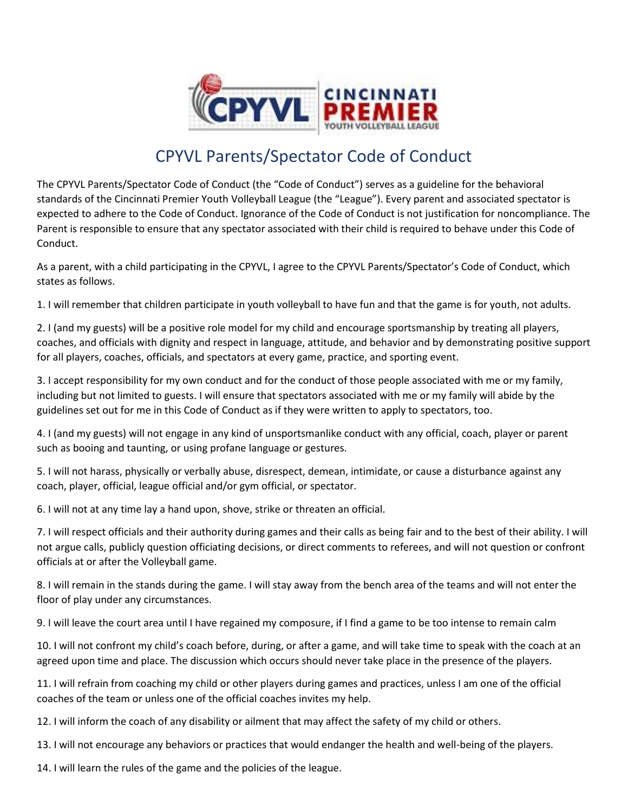

## CPYVL Parents/Spectator Code of Conduct

The CPYVL Parents/Spectator Code of Conduct (the "Code of Conduct") serves as a guideline for the behavioral standards of the Cincinnati Premier Youth Volleyball League (the "League"). Every parent and associated spectator is expected to adhere to the Code of Conduct. Ignorance of the Code of Conduct is not justification for noncompliance. The Parent is responsible to ensure that any spectator associated with their child is required to behave under this Code of Conduct.

As a parent, with a child participating in the CPYVL, I agree to the CPYVL Parents/Spectator's Code of Conduct, which states as follows.

1. I will remember that children participate in youth volleyball to have fun and that the game is for youth, not adults.

2. I (and my guests) will be a positive role model for my child and encourage sportsmanship by treating all players, coaches, and officials with dignity and respect in language, attitude, and behavior and by demonstrating positive support for all players, coaches, officials, and spectators at every game, practice, and sporting event.

3. I accept responsibility for my own conduct and for the conduct of those people associated with me or my family, including but not limited to guests. I will ensure that spectators associated with me or my family will abide by the guidelines set out for me in this Code of Conduct as if they were written to apply to spectators, too.

4. I (and my guests) will not engage in any kind of unsportsmanlike conduct with any official, coach, player or parent such as booing and taunting, or using profane language or gestures.

5. I will not harass, physically or verbally abuse, disrespect, demean, intimidate, or cause a disturbance against any coach, player, official, league official and/or gym official, or spectator.

6. I will not at any time lay a hand upon, shove, strike or threaten an official.

7. I will respect officials and their authority during games and their calls as being fair and to the best of their ability. I will not argue calls, publicly question officiating decisions, or direct comments to referees, and will not question or confront officials at or after the Volleyball game.

8. I will remain in the stands during the game. I will stay away from the bench area of the teams and will not enter the floor of play under any circumstances.

9. I will leave the court area until I have regained my composure, if I find a game to be too intense to remain calm

10. I will not confront my child's coach before, during, or after a game, and will take time to speak with the coach at an agreed upon time and place. The discussion which occurs should never take place in the presence of the players.

11. I will refrain from coaching my child or other players during games and practices, unless I am one of the official coaches of the team or unless one of the official coaches invites my help.

12. I will inform the coach of any disability or ailment that may affect the safety of my child or others.

13. I will not encourage any behaviors or practices that would endanger the health and well-being of the players.

14. I will learn the rules of the game and the policies of the league.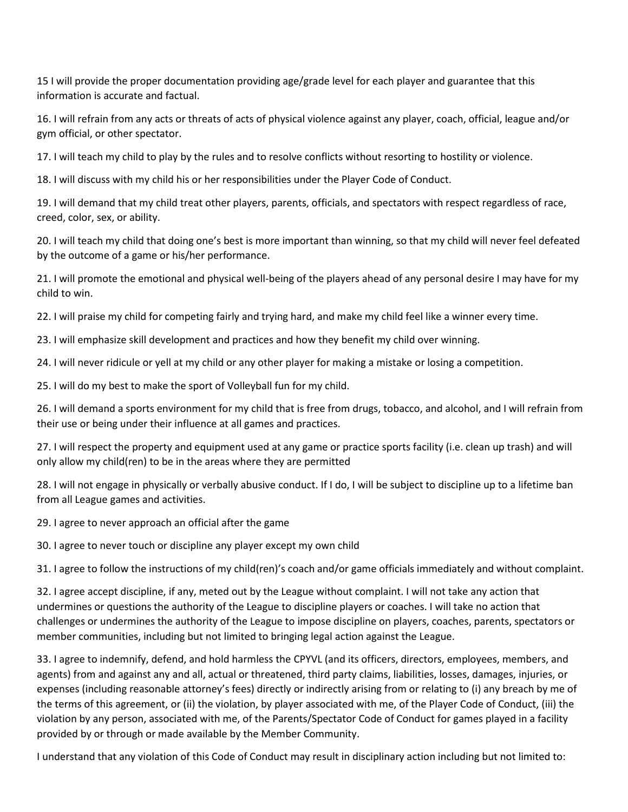15 I will provide the proper documentation providing age/grade level for each player and guarantee that this information is accurate and factual.

16. I will refrain from any acts or threats of acts of physical violence against any player, coach, official, league and/or gym official, or other spectator.

17. I will teach my child to play by the rules and to resolve conflicts without resorting to hostility or violence.

18. I will discuss with my child his or her responsibilities under the Player Code of Conduct.

19. I will demand that my child treat other players, parents, officials, and spectators with respect regardless of race, creed, color, sex, or ability.

20. I will teach my child that doing one's best is more important than winning, so that my child will never feel defeated by the outcome of a game or his/her performance.

21. I will promote the emotional and physical well-being of the players ahead of any personal desire I may have for my child to win.

22. I will praise my child for competing fairly and trying hard, and make my child feel like a winner every time.

23. I will emphasize skill development and practices and how they benefit my child over winning.

24. I will never ridicule or yell at my child or any other player for making a mistake or losing a competition.

25. I will do my best to make the sport of Volleyball fun for my child.

26. I will demand a sports environment for my child that is free from drugs, tobacco, and alcohol, and I will refrain from their use or being under their influence at all games and practices.

27. I will respect the property and equipment used at any game or practice sports facility (i.e. clean up trash) and will only allow my child(ren) to be in the areas where they are permitted

28. I will not engage in physically or verbally abusive conduct. If I do, I will be subject to discipline up to a lifetime ban from all League games and activities.

29. I agree to never approach an official after the game

30. I agree to never touch or discipline any player except my own child

31. I agree to follow the instructions of my child(ren)'s coach and/or game officials immediately and without complaint.

32. I agree accept discipline, if any, meted out by the League without complaint. I will not take any action that undermines or questions the authority of the League to discipline players or coaches. I will take no action that challenges or undermines the authority of the League to impose discipline on players, coaches, parents, spectators or member communities, including but not limited to bringing legal action against the League.

33. I agree to indemnify, defend, and hold harmless the CPYVL (and its officers, directors, employees, members, and agents) from and against any and all, actual or threatened, third party claims, liabilities, losses, damages, injuries, or expenses (including reasonable attorney's fees) directly or indirectly arising from or relating to (i) any breach by me of the terms of this agreement, or (ii) the violation, by player associated with me, of the Player Code of Conduct, (iii) the violation by any person, associated with me, of the Parents/Spectator Code of Conduct for games played in a facility provided by or through or made available by the Member Community.

I understand that any violation of this Code of Conduct may result in disciplinary action including but not limited to: